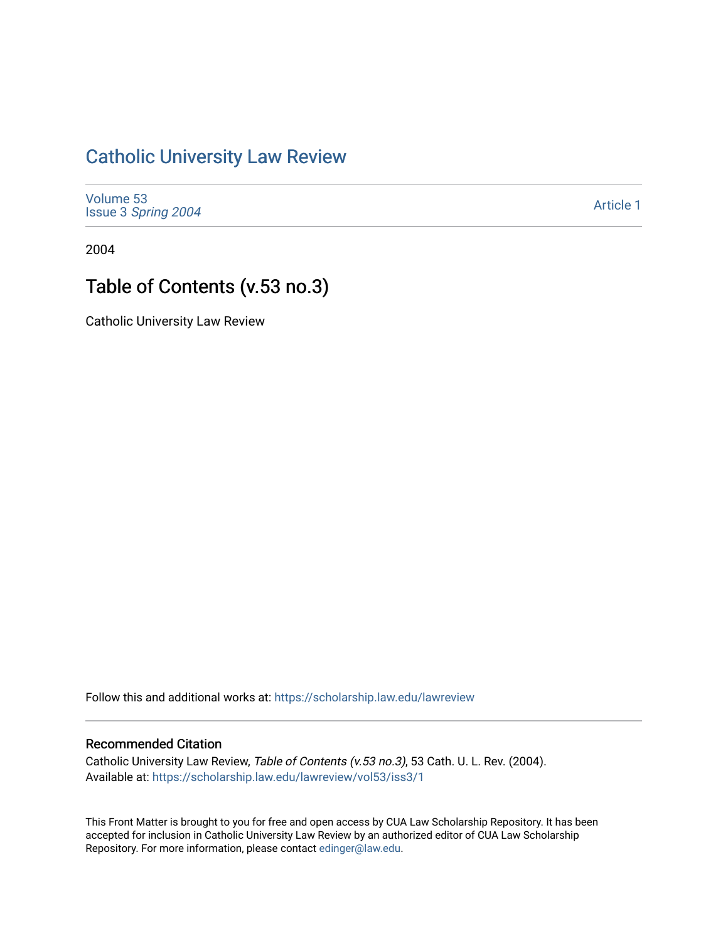## [Catholic University Law Review](https://scholarship.law.edu/lawreview)

[Volume 53](https://scholarship.law.edu/lawreview/vol53) Issue 3 [Spring 2004](https://scholarship.law.edu/lawreview/vol53/iss3) 

[Article 1](https://scholarship.law.edu/lawreview/vol53/iss3/1) 

2004

## Table of Contents (v.53 no.3)

Catholic University Law Review

Follow this and additional works at: [https://scholarship.law.edu/lawreview](https://scholarship.law.edu/lawreview?utm_source=scholarship.law.edu%2Flawreview%2Fvol53%2Fiss3%2F1&utm_medium=PDF&utm_campaign=PDFCoverPages)

## Recommended Citation

Catholic University Law Review, Table of Contents (v.53 no.3), 53 Cath. U. L. Rev. (2004). Available at: [https://scholarship.law.edu/lawreview/vol53/iss3/1](https://scholarship.law.edu/lawreview/vol53/iss3/1?utm_source=scholarship.law.edu%2Flawreview%2Fvol53%2Fiss3%2F1&utm_medium=PDF&utm_campaign=PDFCoverPages)

This Front Matter is brought to you for free and open access by CUA Law Scholarship Repository. It has been accepted for inclusion in Catholic University Law Review by an authorized editor of CUA Law Scholarship Repository. For more information, please contact [edinger@law.edu.](mailto:edinger@law.edu)